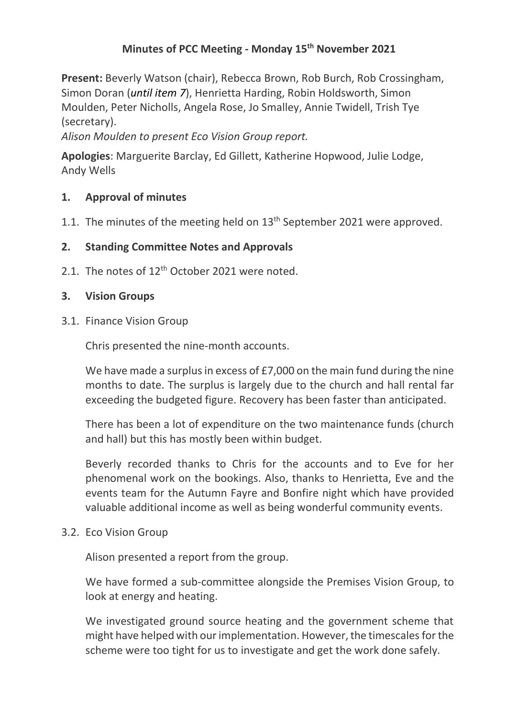# **Minutes of PCC Meeting - Monday 15th November 2021**

**Present:** Beverly Watson (chair), Rebecca Brown, Rob Burch, Rob Crossingham, Simon Doran (*until item 7*), Henrietta Harding, Robin Holdsworth, Simon Moulden, Peter Nicholls, Angela Rose, Jo Smalley, Annie Twidell, Trish Tye (secretary).

*Alison Moulden to present Eco Vision Group report.*

**Apologies**: Marguerite Barclay, Ed Gillett, Katherine Hopwood, Julie Lodge, Andy Wells

# **1. Approval of minutes**

1.1. The minutes of the meeting held on 13<sup>th</sup> September 2021 were approved.

## **2. Standing Committee Notes and Approvals**

2.1. The notes of 12<sup>th</sup> October 2021 were noted.

### **3. Vision Groups**

3.1. Finance Vision Group

Chris presented the nine-month accounts.

We have made a surplus in excess of  $E$ 7,000 on the main fund during the nine months to date. The surplus is largely due to the church and hall rental far exceeding the budgeted figure. Recovery has been faster than anticipated.

There has been a lot of expenditure on the two maintenance funds (church and hall) but this has mostly been within budget.

Beverly recorded thanks to Chris for the accounts and to Eve for her phenomenal work on the bookings. Also, thanks to Henrietta, Eve and the events team for the Autumn Fayre and Bonfire night which have provided valuable additional income as well as being wonderful community events.

3.2. Eco Vision Group

Alison presented a report from the group.

We have formed a sub-committee alongside the Premises Vision Group, to look at energy and heating.

We investigated ground source heating and the government scheme that might have helped with our implementation. However, the timescales forthe scheme were too tight for us to investigate and get the work done safely.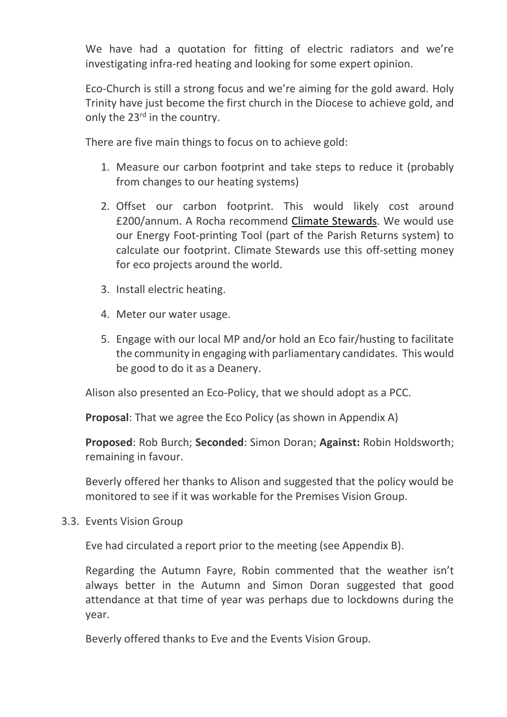We have had a quotation for fitting of electric radiators and we're investigating infra-red heating and looking for some expert opinion.

Eco-Church is still a strong focus and we're aiming for the gold award. Holy Trinity have just become the first church in the Diocese to achieve gold, and only the 23<sup>rd</sup> in the country.

There are five main things to focus on to achieve gold:

- 1. Measure our carbon footprint and take steps to reduce it (probably from changes to our heating systems)
- 2. Offset our carbon footprint. This would likely cost around £200/annum. A Rocha recommend Climate [Stewards.](https://www.climatestewards.org/) We would use our Energy Foot-printing Tool (part of the Parish Returns system) to calculate our footprint. Climate Stewards use this off-setting money for eco projects around the world.
- 3. Install electric heating.
- 4. Meter our water usage.
- 5. Engage with our local MP and/or hold an Eco fair/husting to facilitate the community in engaging with parliamentary candidates. This would be good to do it as a Deanery.

Alison also presented an Eco-Policy, that we should adopt as a PCC.

**Proposal**: That we agree the Eco Policy (as shown in Appendix A)

**Proposed**: Rob Burch; **Seconded**: Simon Doran; **Against:** Robin Holdsworth; remaining in favour.

Beverly offered her thanks to Alison and suggested that the policy would be monitored to see if it was workable for the Premises Vision Group.

3.3. Events Vision Group

Eve had circulated a report prior to the meeting (see Appendix B).

Regarding the Autumn Fayre, Robin commented that the weather isn't always better in the Autumn and Simon Doran suggested that good attendance at that time of year was perhaps due to lockdowns during the year.

Beverly offered thanks to Eve and the Events Vision Group.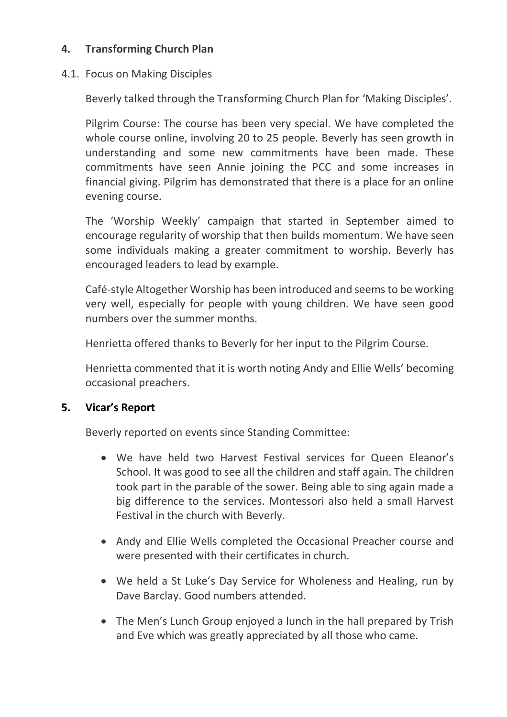# **4. Transforming Church Plan**

# 4.1. Focus on Making Disciples

Beverly talked through the Transforming Church Plan for 'Making Disciples'.

Pilgrim Course: The course has been very special. We have completed the whole course online, involving 20 to 25 people. Beverly has seen growth in understanding and some new commitments have been made. These commitments have seen Annie joining the PCC and some increases in financial giving. Pilgrim has demonstrated that there is a place for an online evening course.

The 'Worship Weekly' campaign that started in September aimed to encourage regularity of worship that then builds momentum. We have seen some individuals making a greater commitment to worship. Beverly has encouraged leaders to lead by example.

Café-style Altogether Worship has been introduced and seems to be working very well, especially for people with young children. We have seen good numbers over the summer months.

Henrietta offered thanks to Beverly for her input to the Pilgrim Course.

Henrietta commented that it is worth noting Andy and Ellie Wells' becoming occasional preachers.

# **5. Vicar's Report**

Beverly reported on events since Standing Committee:

- We have held two Harvest Festival services for Queen Eleanor's School. It was good to see all the children and staff again. The children took part in the parable of the sower. Being able to sing again made a big difference to the services. Montessori also held a small Harvest Festival in the church with Beverly.
- Andy and Ellie Wells completed the Occasional Preacher course and were presented with their certificates in church.
- We held a St Luke's Day Service for Wholeness and Healing, run by Dave Barclay. Good numbers attended.
- The Men's Lunch Group enjoyed a lunch in the hall prepared by Trish and Eve which was greatly appreciated by all those who came.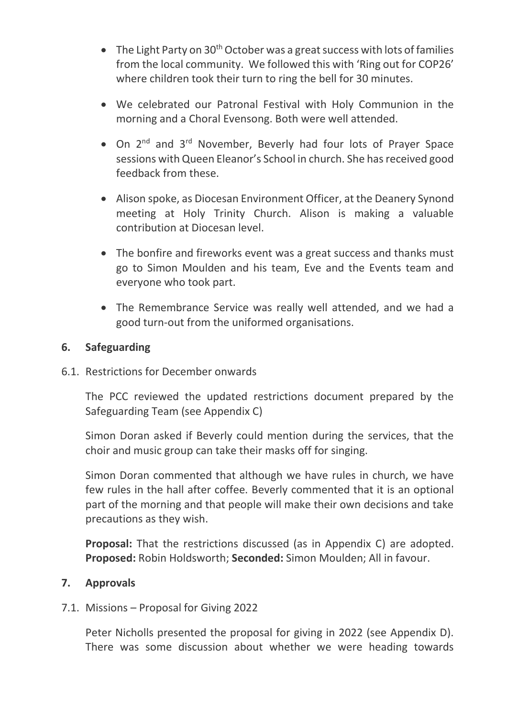- The Light Party on  $30<sup>th</sup>$  October was a great success with lots of families from the local community. We followed this with 'Ring out for COP26' where children took their turn to ring the bell for 30 minutes.
- We celebrated our Patronal Festival with Holy Communion in the morning and a Choral Evensong. Both were well attended.
- On 2<sup>nd</sup> and 3<sup>rd</sup> November, Beverly had four lots of Prayer Space sessions with Queen Eleanor's School in church. She has received good feedback from these.
- Alison spoke, as Diocesan Environment Officer, at the Deanery Synond meeting at Holy Trinity Church. Alison is making a valuable contribution at Diocesan level.
- The bonfire and fireworks event was a great success and thanks must go to Simon Moulden and his team, Eve and the Events team and everyone who took part.
- The Remembrance Service was really well attended, and we had a good turn-out from the uniformed organisations.

# **6. Safeguarding**

6.1. Restrictions for December onwards

The PCC reviewed the updated restrictions document prepared by the Safeguarding Team (see Appendix C)

Simon Doran asked if Beverly could mention during the services, that the choir and music group can take their masks off for singing.

Simon Doran commented that although we have rules in church, we have few rules in the hall after coffee. Beverly commented that it is an optional part of the morning and that people will make their own decisions and take precautions as they wish.

**Proposal:** That the restrictions discussed (as in Appendix C) are adopted. **Proposed:** Robin Holdsworth; **Seconded:** Simon Moulden; All in favour.

# **7. Approvals**

7.1. Missions – Proposal for Giving 2022

Peter Nicholls presented the proposal for giving in 2022 (see Appendix D). There was some discussion about whether we were heading towards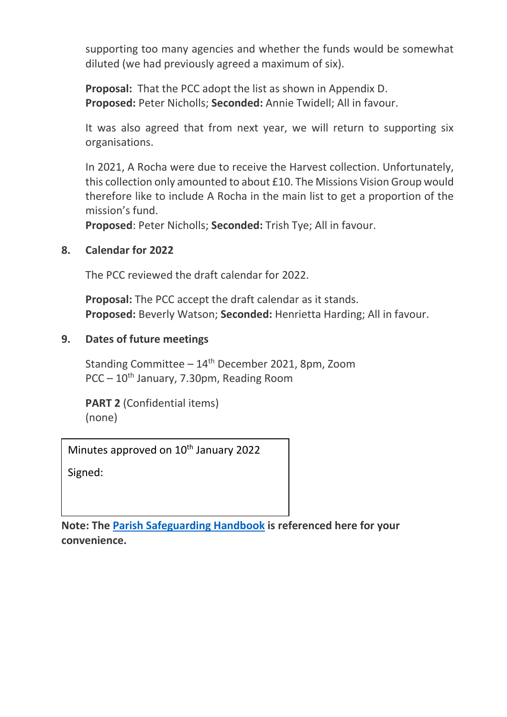supporting too many agencies and whether the funds would be somewhat diluted (we had previously agreed a maximum of six).

**Proposal:** That the PCC adopt the list as shown in Appendix D. **Proposed:** Peter Nicholls; **Seconded:** Annie Twidell; All in favour.

It was also agreed that from next year, we will return to supporting six organisations.

In 2021, A Rocha were due to receive the Harvest collection. Unfortunately, this collection only amounted to about £10. The Missions Vision Group would therefore like to include A Rocha in the main list to get a proportion of the mission's fund.

**Proposed**: Peter Nicholls; **Seconded:** Trish Tye; All in favour.

# **8. Calendar for 2022**

The PCC reviewed the draft calendar for 2022.

**Proposal:** The PCC accept the draft calendar as it stands. **Proposed:** Beverly Watson; **Seconded:** Henrietta Harding; All in favour.

# **9. Dates of future meetings**

Standing Committee  $-14<sup>th</sup>$  December 2021, 8pm, Zoom PCC – 10th January, 7.30pm, Reading Room

**PART 2** (Confidential items) (none)

Minutes approved on 10<sup>th</sup> January 2022

Signed:

**Note: The [Parish Safeguarding Handbook](https://www.churchofengland.org/sites/default/files/2019-03/Parish%20Safeguarding%20Handbook%20March%202019.pdf) is referenced here for your convenience.**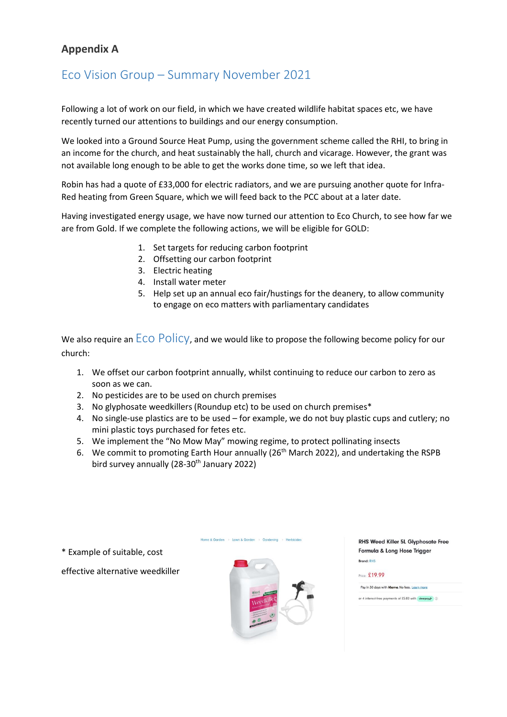# **Appendix A**

# Eco Vision Group – Summary November 2021

Following a lot of work on our field, in which we have created wildlife habitat spaces etc, we have recently turned our attentions to buildings and our energy consumption.

We looked into a Ground Source Heat Pump, using the government scheme called the RHI, to bring in an income for the church, and heat sustainably the hall, church and vicarage. However, the grant was not available long enough to be able to get the works done time, so we left that idea.

Robin has had a quote of £33,000 for electric radiators, and we are pursuing another quote for Infra-Red heating from Green Square, which we will feed back to the PCC about at a later date.

Having investigated energy usage, we have now turned our attention to Eco Church, to see how far we are from Gold. If we complete the following actions, we will be eligible for GOLD:

- 1. Set targets for reducing carbon footprint
- 2. Offsetting our carbon footprint
- 3. Electric heating
- 4. Install water meter
- 5. Help set up an annual eco fair/hustings for the deanery, to allow community to engage on eco matters with parliamentary candidates

We also require an  $ECO$   $Policy$ , and we would like to propose the following become policy for our church:

- 1. We offset our carbon footprint annually, whilst continuing to reduce our carbon to zero as soon as we can.
- 2. No pesticides are to be used on church premises
- 3. No glyphosate weedkillers (Roundup etc) to be used on church premises\*
- 4. No single-use plastics are to be used for example, we do not buy plastic cups and cutlery; no mini plastic toys purchased for fetes etc.
- 5. We implement the "No Mow May" mowing regime, to protect pollinating insects
- 6. We commit to promoting Earth Hour annually ( $26<sup>th</sup>$  March 2022), and undertaking the RSPB bird survey annually (28-30<sup>th</sup> January 2022)

Home & Garden > Lawn & Garden > Gardening > Herbicide

\* Example of suitable, cost

effective alternative weedkiller



**RHS Weed Killer 5L Glyphosate Free** Formula & Long Hose Trigger **Brand: RHS** 



Pay in 30 days with Klorno, No fees, Learn more

or 4 interest-free payments of £5.00 with clearpay  $\odot$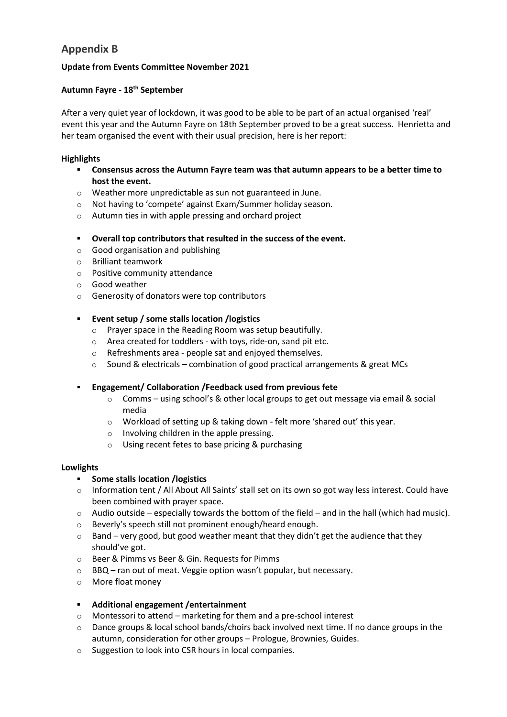## **Appendix B**

#### **Update from Events Committee November 2021**

#### **Autumn Fayre - 18th September**

After a very quiet year of lockdown, it was good to be able to be part of an actual organised 'real' event this year and the Autumn Fayre on 18th September proved to be a great success. Henrietta and her team organised the event with their usual precision, here is her report:

#### **Highlights**

- **Consensus across the Autumn Fayre team was that autumn appears to be a better time to host the event.**
- o Weather more unpredictable as sun not guaranteed in June.
- o Not having to 'compete' against Exam/Summer holiday season.
- o Autumn ties in with apple pressing and orchard project
- **Overall top contributors that resulted in the success of the event.**
- o Good organisation and publishing
- o Brilliant teamwork
- o Positive community attendance
- o Good weather
- o Generosity of donators were top contributors
- **Event setup / some stalls location /logistics**
	- o Prayer space in the Reading Room was setup beautifully.
	- o Area created for toddlers with toys, ride-on, sand pit etc.
	- o Refreshments area people sat and enjoyed themselves.
	- o Sound & electricals combination of good practical arrangements & great MCs
- **Engagement/ Collaboration /Feedback used from previous fete** 
	- $\circ$  Comms using school's & other local groups to get out message via email & social media
	- o Workload of setting up & taking down felt more 'shared out' this year.
	- o Involving children in the apple pressing.
	- o Using recent fetes to base pricing & purchasing

#### **Lowlights**

#### ▪ **Some stalls location /logistics**

- $\circ$  Information tent / All About All Saints' stall set on its own so got way less interest. Could have been combined with prayer space.
- $\circ$  Audio outside especially towards the bottom of the field and in the hall (which had music).
- o Beverly's speech still not prominent enough/heard enough.
- $\circ$  Band very good, but good weather meant that they didn't get the audience that they should've got.
- o Beer & Pimms vs Beer & Gin. Requests for Pimms
- o BBQ ran out of meat. Veggie option wasn't popular, but necessary.
- o More float money

#### ▪ **Additional engagement /entertainment**

- o Montessori to attend marketing for them and a pre-school interest
- $\circ$  Dance groups & local school bands/choirs back involved next time. If no dance groups in the autumn, consideration for other groups – Prologue, Brownies, Guides.
- o Suggestion to look into CSR hours in local companies.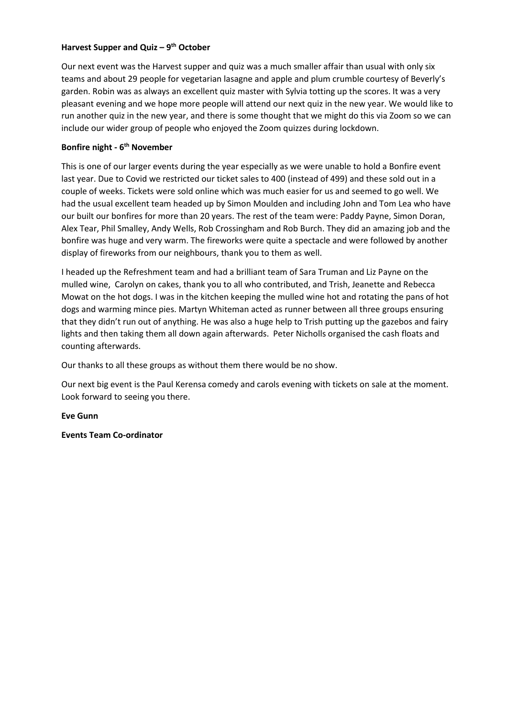### **Harvest Supper and Quiz – 9 th October**

Our next event was the Harvest supper and quiz was a much smaller affair than usual with only six teams and about 29 people for vegetarian lasagne and apple and plum crumble courtesy of Beverly's garden. Robin was as always an excellent quiz master with Sylvia totting up the scores. It was a very pleasant evening and we hope more people will attend our next quiz in the new year. We would like to run another quiz in the new year, and there is some thought that we might do this via Zoom so we can include our wider group of people who enjoyed the Zoom quizzes during lockdown.

### **Bonfire night - 6 th November**

This is one of our larger events during the year especially as we were unable to hold a Bonfire event last year. Due to Covid we restricted our ticket sales to 400 (instead of 499) and these sold out in a couple of weeks. Tickets were sold online which was much easier for us and seemed to go well. We had the usual excellent team headed up by Simon Moulden and including John and Tom Lea who have our built our bonfires for more than 20 years. The rest of the team were: Paddy Payne, Simon Doran, Alex Tear, Phil Smalley, Andy Wells, Rob Crossingham and Rob Burch. They did an amazing job and the bonfire was huge and very warm. The fireworks were quite a spectacle and were followed by another display of fireworks from our neighbours, thank you to them as well.

I headed up the Refreshment team and had a brilliant team of Sara Truman and Liz Payne on the mulled wine, Carolyn on cakes, thank you to all who contributed, and Trish, Jeanette and Rebecca Mowat on the hot dogs. I was in the kitchen keeping the mulled wine hot and rotating the pans of hot dogs and warming mince pies. Martyn Whiteman acted as runner between all three groups ensuring that they didn't run out of anything. He was also a huge help to Trish putting up the gazebos and fairy lights and then taking them all down again afterwards. Peter Nicholls organised the cash floats and counting afterwards.

Our thanks to all these groups as without them there would be no show.

Our next big event is the Paul Kerensa comedy and carols evening with tickets on sale at the moment. Look forward to seeing you there.

**Eve Gunn**

**Events Team Co-ordinator**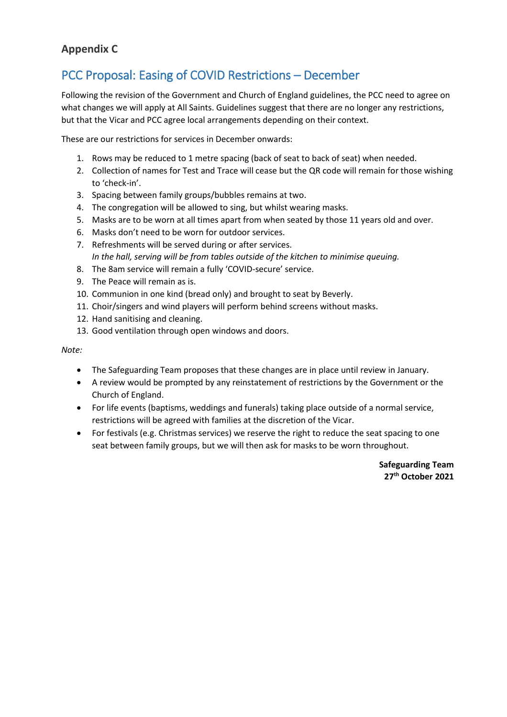# **Appendix C**

# PCC Proposal: Easing of COVID Restrictions – December

Following the revision of the Government and Church of England guidelines, the PCC need to agree on what changes we will apply at All Saints. Guidelines suggest that there are no longer any restrictions, but that the Vicar and PCC agree local arrangements depending on their context.

These are our restrictions for services in December onwards:

- 1. Rows may be reduced to 1 metre spacing (back of seat to back of seat) when needed.
- 2. Collection of names for Test and Trace will cease but the QR code will remain for those wishing to 'check-in'.
- 3. Spacing between family groups/bubbles remains at two.
- 4. The congregation will be allowed to sing, but whilst wearing masks.
- 5. Masks are to be worn at all times apart from when seated by those 11 years old and over.
- 6. Masks don't need to be worn for outdoor services.
- 7. Refreshments will be served during or after services. *In the hall, serving will be from tables outside of the kitchen to minimise queuing.*
- 8. The 8am service will remain a fully 'COVID-secure' service.
- 9. The Peace will remain as is.
- 10. Communion in one kind (bread only) and brought to seat by Beverly.
- 11. Choir/singers and wind players will perform behind screens without masks.
- 12. Hand sanitising and cleaning.
- 13. Good ventilation through open windows and doors.

#### *Note:*

- The Safeguarding Team proposes that these changes are in place until review in January.
- A review would be prompted by any reinstatement of restrictions by the Government or the Church of England.
- For life events (baptisms, weddings and funerals) taking place outside of a normal service, restrictions will be agreed with families at the discretion of the Vicar.
- For festivals (e.g. Christmas services) we reserve the right to reduce the seat spacing to one seat between family groups, but we will then ask for masks to be worn throughout.

**Safeguarding Team 27th October 2021**